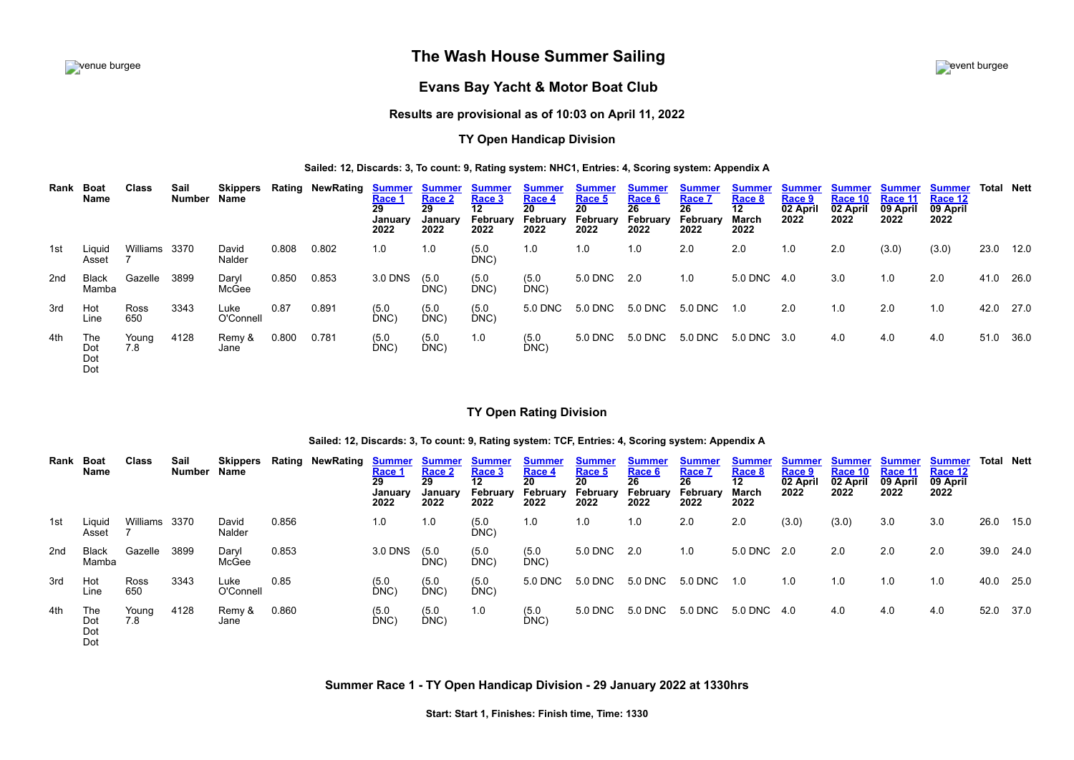# **The Wash House Summer Sailing** event burgee



# **Evans Bay Yacht & Motor Boat Club**

## **Results are provisional as of 10:03 on April 11, 2022**

## **TY Open Handicap Division**

## **Sailed: 12, Discards: 3, To count: 9, Rating system: NHC1, Entries: 4, Scoring system: Appendix A**

| Rank | Boat<br>Name             | Class         | Sail<br>Number | <b>Skippers</b><br>Name |       | <b>Rating NewRating</b> | <u>Summer</u><br>Race 1<br>29<br>January<br>2022 | <b>Summer</b><br>Race 2<br>29<br>January<br>2022 | <b>Summer</b><br>Race 3<br>12 <sup>12</sup><br>February<br>2022 | <b>Summer</b><br>Race 4<br>20<br>February<br>2022 | <u>Summer</u><br>Race 5<br>20<br>February<br>2022 | <b>Summer</b><br>Race 6<br>26<br>February<br>2022 | <b>Summer</b><br>Race 7<br>26<br>February<br>2022 | <b>Summer</b><br>Race 8<br>$12 \,$<br>March<br>2022 | <b>Summer</b><br>Race 9<br>02 April<br>2022 | <b>Summer</b><br>Race 10<br>02 April<br>2022 | <b>Summer</b><br>Race 11<br>09 April<br>2022 | <b>Summer</b><br>Race 12<br>09 April<br>2022 | Total     | Nett |
|------|--------------------------|---------------|----------------|-------------------------|-------|-------------------------|--------------------------------------------------|--------------------------------------------------|-----------------------------------------------------------------|---------------------------------------------------|---------------------------------------------------|---------------------------------------------------|---------------------------------------------------|-----------------------------------------------------|---------------------------------------------|----------------------------------------------|----------------------------------------------|----------------------------------------------|-----------|------|
| 1st  | Liquid<br>Asset          | Williams 3370 |                | David<br>Nalder         | 0.808 | 0.802                   | 1.0                                              | 1.0                                              | (5.0)<br>DNC)                                                   | 1.0                                               | 1.0                                               | 1.0                                               | 2.0                                               | 2.0                                                 | 1.0                                         | 2.0                                          | (3.0)                                        | (3.0)                                        | 23.0 12.0 |      |
| 2nd  | Black<br>Mamba           | Gazelle       | 3899           | Daryl<br>McGee          | 0.850 | 0.853                   | 3.0 DNS                                          | (5.0)<br>DNC)                                    | (5.0)<br>DNC)                                                   | (5.0)<br>DNC)                                     | 5.0 DNC                                           | 2.0                                               | 1.0                                               | 5.0 DNC 4.0                                         |                                             | 3.0                                          | 1.0                                          | 2.0                                          | 41.0 26.0 |      |
| 3rd  | Hot<br>Line              | Ross<br>650   | 3343           | Luke<br>O'Connell       | 0.87  | 0.891                   | (5.0)<br>DNC)                                    | (5.0)<br>DNC)                                    | (5.0)<br>DNC)                                                   | 5.0 DNC                                           | 5.0 DNC                                           | 5.0 DNC                                           | 5.0 DNC                                           | 1.0                                                 | 2.0                                         | 1.0                                          | 2.0                                          | 1.0                                          | 42.0 27.0 |      |
| 4th  | The<br>Dot<br>Dot<br>Dot | Young<br>7.8  | 4128           | Remy &<br>Jane          | 0.800 | 0.781                   | (5.0)<br>DNC                                     | (5.0)<br>DNC)                                    | 1.0                                                             | (5.0)<br>DNC)                                     | 5.0 DNC                                           | 5.0 DNC                                           | 5.0 DNC                                           | 5.0 DNC 3.0                                         |                                             | 4.0                                          | 4.0                                          | 4.0                                          | 51.0      | 36.0 |

## **TY Open Rating Division**

#### **Sailed: 12, Discards: 3, To count: 9, Rating system: TCF, Entries: 4, Scoring system: Appendix A**

<span id="page-0-0"></span>

| Rank | Boat<br>Name             | Class         | Sail<br>Number | <b>Skippers</b><br>Name |       | Rating NewRating | <b>Summer</b><br>Race 1<br>29<br>January<br>2022 | Summer<br>Race 2<br>29<br>January<br>2022 | <b>Summer</b><br>Race 3<br>12<br>February<br>2022 | <u>Summer</u><br>Race 4<br>20<br>February<br>2022 | <b>Summer</b><br>Race 5<br>20<br>February<br>2022 | <b>Summer</b><br>Race 6<br>26<br>February<br>2022 | <b>Summer</b><br>Race 7<br>26<br>February<br>2022 | <u>Summer</u><br>Race 8<br>$12 \,$<br>March<br>2022 | <u>Summer</u><br>Race 9<br>02 April<br>2022 | <u>Summer</u><br>Race 10<br>02 April<br>2022 | <u>Summer</u><br>Race 11<br>09 April<br>2022 | Summer<br>Race 12<br>09 April<br>2022 | <b>Total Nett</b> |      |
|------|--------------------------|---------------|----------------|-------------------------|-------|------------------|--------------------------------------------------|-------------------------------------------|---------------------------------------------------|---------------------------------------------------|---------------------------------------------------|---------------------------------------------------|---------------------------------------------------|-----------------------------------------------------|---------------------------------------------|----------------------------------------------|----------------------------------------------|---------------------------------------|-------------------|------|
| 1st  | Liquid<br>Asset          | Williams 3370 |                | David<br>Nalder         | 0.856 |                  | 1.0                                              | 1.0                                       | (5.0)<br>DNC)                                     | 1.0                                               | 1.0                                               | 1.0                                               | 2.0                                               | 2.0                                                 | (3.0)                                       | (3.0)                                        | 3.0                                          | 3.0                                   | 26.0              | 15.0 |
| 2nd  | Black<br>Mamba           | Gazelle       | 3899           | Daryl<br>McGee          | 0.853 |                  | 3.0 DNS                                          | (5.0)<br>DNC)                             | (5.0)<br>DNC                                      | (5.0)<br>DNC)                                     | 5.0 DNC 2.0                                       |                                                   | 1.0                                               | 5.0 DNC 2.0                                         |                                             | 2.0                                          | 2.0                                          | 2.0                                   | 39.0 24.0         |      |
| 3rd  | Hot<br>Line              | Ross<br>650   | 3343           | Luke<br>O'Connell       | 0.85  |                  | (5.0)<br>DNC)                                    | (DMC)                                     | (5.0)<br>DNC)                                     | 5.0 DNC                                           | 5.0 DNC                                           | 5.0 DNC                                           | 5.0 DNC                                           | 1.0                                                 | 1.0                                         | 1.0                                          | 1.0                                          | 1.0                                   | 40.0              | 25.0 |
| 4th  | The<br>Dot<br>Dot<br>Dot | Young<br>7.8  | 4128           | Remy &<br>Jane          | 0.860 |                  | (5.0)<br>DNC)                                    | (5.0)<br>DNC)                             | 1.0                                               | (5.0)<br>DNC)                                     | 5.0 DNC                                           | 5.0 DNC                                           | 5.0 DNC                                           | 5.0 DNC 4.0                                         |                                             | 4.0                                          | 4.0                                          | 4.0                                   | 52.0              | 37.0 |

**Summer Race 1 - TY Open Handicap Division - 29 January 2022 at 1330hrs**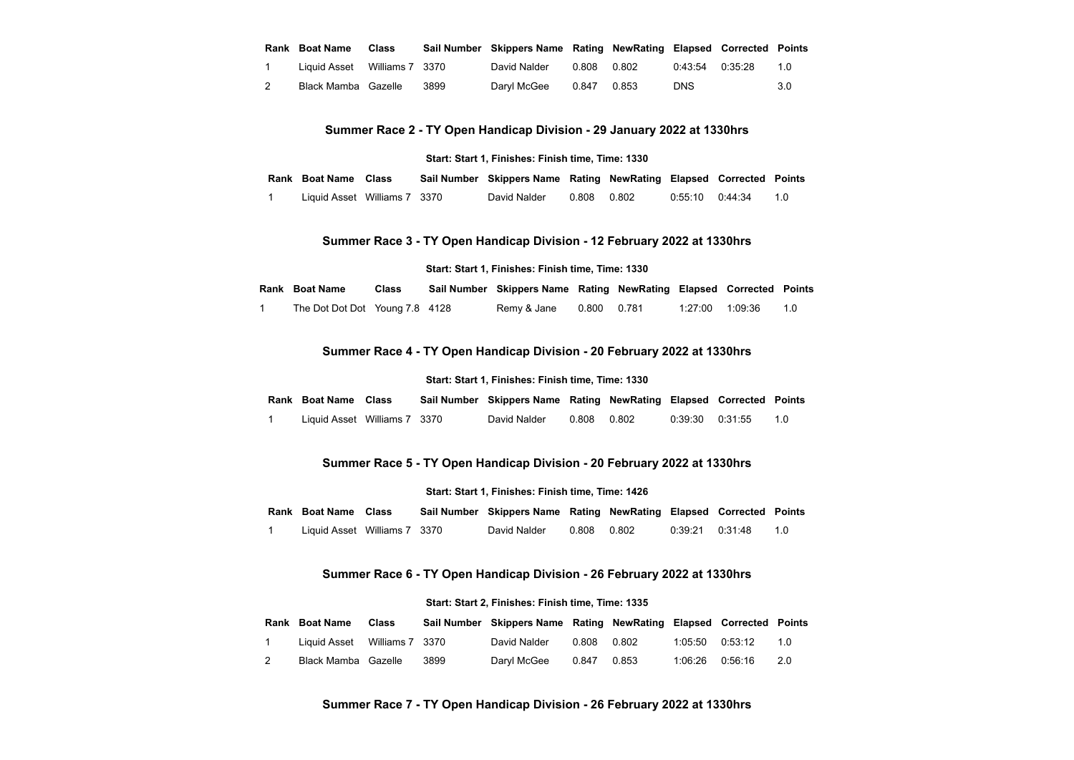| Rank Boat Name               | Class |      | Sail Number Skippers Name Rating NewRating Elapsed Corrected Points |       |       |            |                         |     |
|------------------------------|-------|------|---------------------------------------------------------------------|-------|-------|------------|-------------------------|-----|
| Liquid Asset Williams 7 3370 |       |      | David Nalder                                                        | 0.808 | 0.802 |            | $0:43:54$ $0:35:28$ 1.0 |     |
| Black Mamba Gazelle          |       | 3899 | Darvl McGee 0.847                                                   |       | 0.853 | <b>DNS</b> |                         | 3.0 |

**Summer Race 2 - TY Open Handicap Division - 29 January 2022 at 1330hrs**

#### **Start: Start 1, Finishes: Finish time, Time: 1330**

<span id="page-1-0"></span>**Rank Boat Name Class Sail Number Skippers Name Rating NewRating Elapsed Corrected Points**

1 Liquid Asset Williams 7 3370 David Nalder 0.808 0.802 0:55:10 0:44:34 1.0

## **Summer Race 3 - TY Open Handicap Division - 12 February 2022 at 1330hrs**

## **Start: Start 1, Finishes: Finish time, Time: 1330**

<span id="page-1-2"></span><span id="page-1-1"></span>

| Rank Boat Name                 | Class | Sail Number Skippers Name Rating NewRating Elapsed Corrected Points |             |                 |     |
|--------------------------------|-------|---------------------------------------------------------------------|-------------|-----------------|-----|
| The Dot Dot Dot Young 7.8 4128 |       | Remy & Jane                                                         | 0.800 0.781 | 1:27:00 1:09:36 | 1.0 |

## **Summer Race 4 - TY Open Handicap Division - 20 February 2022 at 1330hrs**

#### **Start: Start 1, Finishes: Finish time, Time: 1330**

| Rank Boat Name Class         |  | Sail Number Skippers Name Rating NewRating Elapsed Corrected Points |             |                  |    |
|------------------------------|--|---------------------------------------------------------------------|-------------|------------------|----|
| Liquid Asset Williams 7 3370 |  | David Nalder                                                        | 0.808 0.802 | 0:39:30  0:31:55 | 10 |

## **Summer Race 5 - TY Open Handicap Division - 20 February 2022 at 1330hrs**

#### **Start: Start 1, Finishes: Finish time, Time: 1426**

<span id="page-1-3"></span>

| Rank Boat Name Class |  | Sail Number Skippers Name Rating NewRating Elapsed Corrected Points |  |  |  |  |  |
|----------------------|--|---------------------------------------------------------------------|--|--|--|--|--|
|----------------------|--|---------------------------------------------------------------------|--|--|--|--|--|

1 Liquid Asset Williams 7 3370 David Nalder 0.808 0.802 0:39:21 0:31:48 1.0

## **Summer Race 6 - TY Open Handicap Division - 26 February 2022 at 1330hrs**

#### **Start: Start 2, Finishes: Finish time, Time: 1335**

<span id="page-1-5"></span><span id="page-1-4"></span>

| Rank Boat Name               | Class |      | Sail Number Skippers Name Rating NewRating Elapsed Corrected Points |             |  |                  |       |
|------------------------------|-------|------|---------------------------------------------------------------------|-------------|--|------------------|-------|
| Liquid Asset Williams 7 3370 |       |      | David Nalder                                                        | 0.808 0.802 |  |                  | 10    |
| Black Mamba Gazelle          |       | 3899 | Daryl McGee   0.847   0.853                                         |             |  | 1:06:26  0:56:16 | - 2.0 |

## **Summer Race 7 - TY Open Handicap Division - 26 February 2022 at 1330hrs**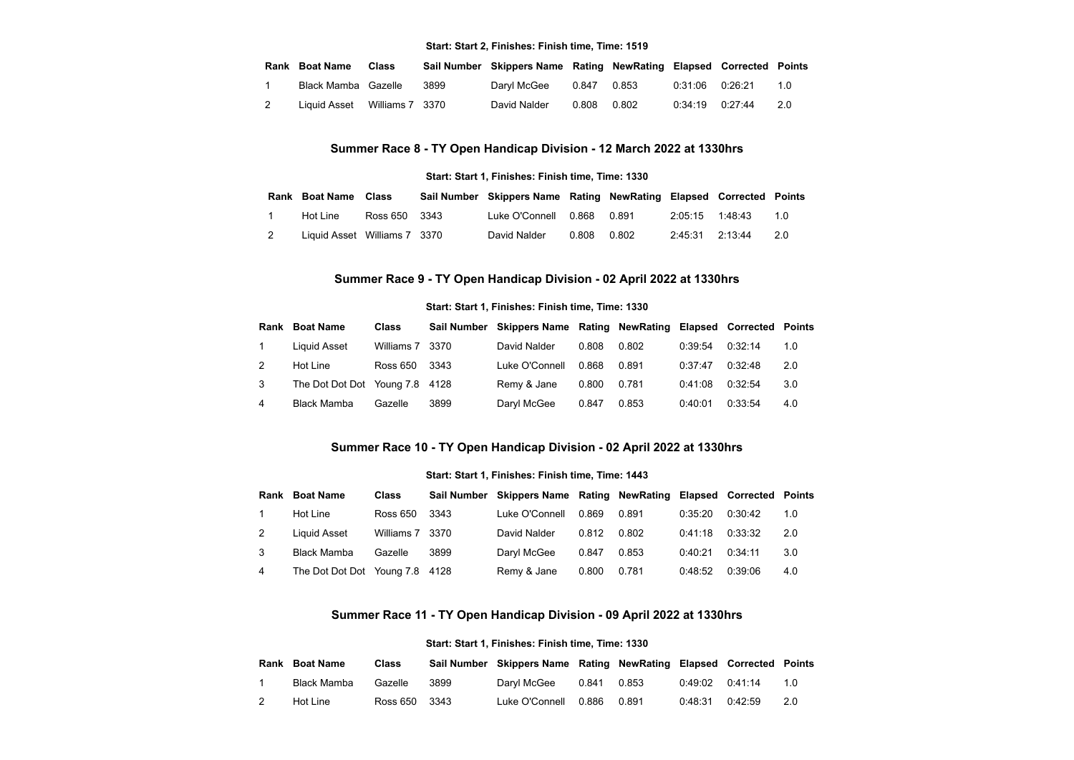#### **Start: Start 2, Finishes: Finish time, Time: 1519**

|   | <b>Rank Boat Name</b>        | Class |      | Sail Number Skippers Name Rating NewRating Elapsed Corrected Points |             |  |     |
|---|------------------------------|-------|------|---------------------------------------------------------------------|-------------|--|-----|
|   | Black Mamba Gazelle          |       | 3899 | Daryl McGee   0.847   0.853                                         |             |  | 10  |
| 2 | Liquid Asset Williams 7 3370 |       |      | David Nalder                                                        | 0.808 0.802 |  | 2.0 |

## **Summer Race 8 - TY Open Handicap Division - 12 March 2022 at 1330hrs**

#### **Start: Start 1, Finishes: Finish time, Time: 1330**

<span id="page-2-0"></span>

|  | Rank Boat Name Class         |               | Sail Number Skippers Name Rating NewRating Elapsed Corrected Points |       |       |                 |                     |     |
|--|------------------------------|---------------|---------------------------------------------------------------------|-------|-------|-----------------|---------------------|-----|
|  | Hot Line                     | Ross 650 3343 | Luke O'Connell  0.868  0.891                                        |       |       |                 | 2:05:15 1:48:43 1.0 |     |
|  | Liquid Asset Williams 7 3370 |               | David Nalder                                                        | 0.808 | 0.802 | 2:45:31 2:13:44 |                     | 2.0 |

## **Summer Race 9 - TY Open Handicap Division - 02 April 2022 at 1330hrs**

#### **Start: Start 1, Finishes: Finish time, Time: 1330**

<span id="page-2-1"></span>

|               | <b>Rank Boat Name</b>          | <b>Class</b>    |        | Sail Number Skippers Name Rating NewRating Elapsed Corrected Points |       |       |         |         |     |
|---------------|--------------------------------|-----------------|--------|---------------------------------------------------------------------|-------|-------|---------|---------|-----|
|               | Liquid Asset                   | Williams 7 3370 |        | David Nalder                                                        | 0.808 | 0.802 | 0:39:54 | 0:32:14 | 1.0 |
| $\mathcal{P}$ | Hot Line                       | Ross 650        | - 3343 | Luke O'Connell                                                      | 0.868 | 0.891 | 0:37:47 | 0:32:48 | 2.0 |
| 3             | The Dot Dot Dot Young 7.8 4128 |                 |        | Remy & Jane                                                         | 0.800 | 0.781 | 0:41:08 | 0:32:54 | 3.0 |
| 4             | Black Mamba                    | Gazelle         | 3899   | Daryl McGee                                                         | 0.847 | 0.853 | 0:40:01 | 0:33:54 | 4.0 |

## **Summer Race 10 - TY Open Handicap Division - 02 April 2022 at 1330hrs**

## **Start: Start 1, Finishes: Finish time, Time: 1443**

<span id="page-2-2"></span>

| Rank           | <b>Boat Name</b>               | <b>Class</b>    |      | Sail Number Skippers Name Rating NewRating Elapsed Corrected Points |       |       |         |         |     |
|----------------|--------------------------------|-----------------|------|---------------------------------------------------------------------|-------|-------|---------|---------|-----|
|                | Hot Line                       | Ross 650        | 3343 | Luke O'Connell                                                      | 0.869 | 0.891 | 0:35:20 | 0:30:42 | 1.0 |
| $\overline{2}$ | Liquid Asset                   | Williams 7 3370 |      | David Nalder                                                        | 0.812 | 0.802 | 0:41:18 | 0:33:32 | 2.0 |
| 3              | <b>Black Mamba</b>             | Gazelle         | 3899 | Darvl McGee                                                         | 0.847 | 0.853 | 0:40:21 | 0:34:11 | 3.0 |
| 4              | The Dot Dot Dot Young 7.8 4128 |                 |      | Remy & Jane                                                         | 0.800 | 0.781 | 0:48:52 | 0:39:06 | 4.0 |

## **Summer Race 11 - TY Open Handicap Division - 09 April 2022 at 1330hrs**

## **Start: Start 1, Finishes: Finish time, Time: 1330**

<span id="page-2-3"></span>

|                | Rank Boat Name | Class         |      | Sail Number Skippers Name Rating NewRating Elapsed Corrected Points |       |       |                     |     |
|----------------|----------------|---------------|------|---------------------------------------------------------------------|-------|-------|---------------------|-----|
|                | Black Mamba    | Gazelle       | 3899 | Darvl McGee                                                         | 0.841 | 0.853 | 0:49:02   0:41:14   | 10  |
| $\overline{2}$ | Hot Line       | Ross 650 3343 |      | Luke O'Connell                                                      | 0.886 | 0.891 | $0.48.31$ $0.42.59$ | 2.0 |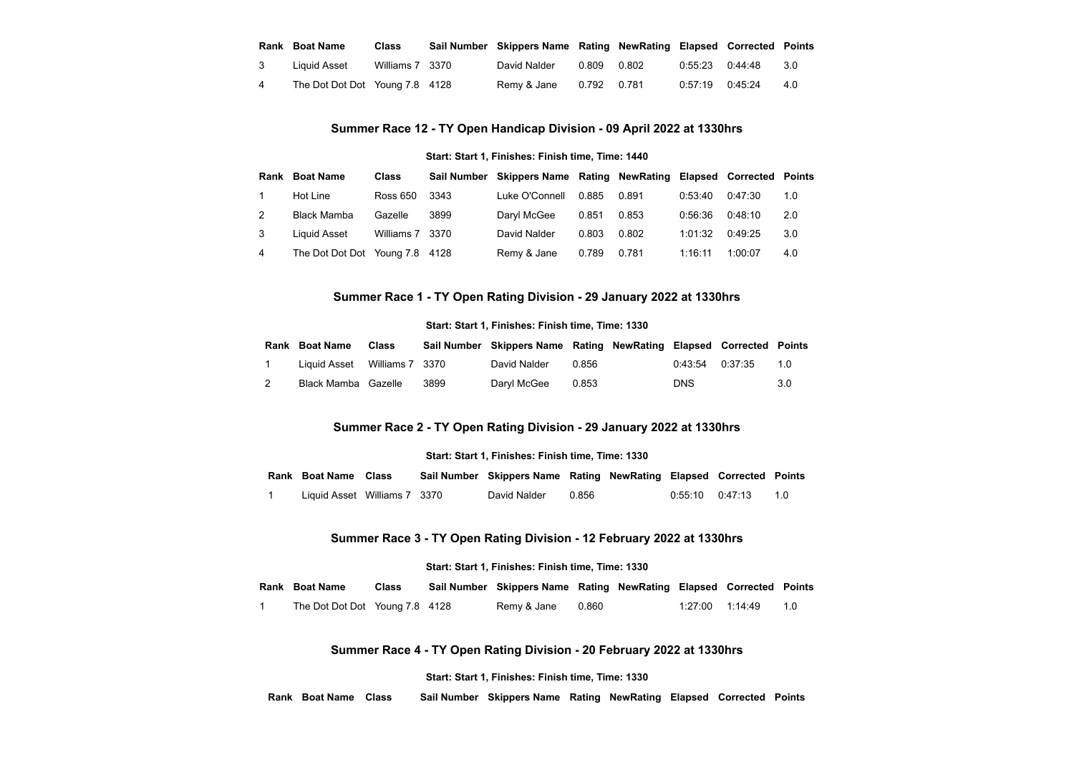|                | Rank Boat Name                 | Class           | Sail Number Skippers Name Rating NewRating Elapsed Corrected Points |             |                   |                         |     |
|----------------|--------------------------------|-----------------|---------------------------------------------------------------------|-------------|-------------------|-------------------------|-----|
| -3             | Liquid Asset                   | Williams 7 3370 | David Nalder                                                        | 0.809 0.802 |                   | $0.55.23$ $0.44.48$ 3.0 |     |
| $\overline{4}$ | The Dot Dot Dot Young 7.8 4128 |                 | Remy & Jane 0.792 0.781                                             |             | 0:57:19   0:45:24 |                         | 4.0 |

# **Summer Race 12 - TY Open Handicap Division - 09 April 2022 at 1330hrs**

#### **Start: Start 1, Finishes: Finish time, Time: 1440**

<span id="page-3-0"></span>

|   | <b>Rank Boat Name</b>          | <b>Class</b>    |        | Sail Number Skippers Name Rating NewRating Elapsed Corrected Points |       |       |         |         |     |
|---|--------------------------------|-----------------|--------|---------------------------------------------------------------------|-------|-------|---------|---------|-----|
|   | Hot Line                       | Ross 650        | - 3343 | Luke O'Connell                                                      | 0.885 | 0.891 | 0:53:40 | 0:47:30 | 1.0 |
| 2 | Black Mamba                    | Gazelle         | 3899   | Darvl McGee                                                         | 0.851 | 0.853 | 0:56:36 | 0:48:10 | 2.0 |
| 3 | Liquid Asset                   | Williams 7 3370 |        | David Nalder                                                        | 0.803 | 0.802 | 1:01:32 | 0:49:25 | 3.0 |
| 4 | The Dot Dot Dot Young 7.8 4128 |                 |        | Remy & Jane                                                         | 0.789 | 0.781 | 1:16:11 | 1:00:07 | 4.0 |

## **Summer Race 1 - TY Open Rating Division - 29 January 2022 at 1330hrs**

#### **Start: Start 1, Finishes: Finish time, Time: 1330**

<span id="page-3-1"></span>

|  | <b>Rank Boat Name</b>        | <b>Class</b> |      | Sail Number Skippers Name Rating NewRating Elapsed Corrected Points |       |                     |        |
|--|------------------------------|--------------|------|---------------------------------------------------------------------|-------|---------------------|--------|
|  | Liquid Asset Williams 7 3370 |              |      | David Nalder                                                        | 0.856 | $0.43.54$ $0.37.35$ | $-1.0$ |
|  | Black Mamba Gazelle          |              | 3899 | Darvl McGee                                                         | 0.853 | DNS                 | 3.0    |

## **Summer Race 2 - TY Open Rating Division - 29 January 2022 at 1330hrs**

#### **Start: Start 1, Finishes: Finish time, Time: 1330**

<span id="page-3-2"></span>

| Rank Boat Name Class         |  | Sail Number Skippers Name Rating NewRating Elapsed Corrected Points |       |                 |                 |
|------------------------------|--|---------------------------------------------------------------------|-------|-----------------|-----------------|
| Liquid Asset Williams 7 3370 |  | David Nalder                                                        | 0.856 | 0:55:10 0:47:13 | $\overline{10}$ |

## **Summer Race 3 - TY Open Rating Division - 12 February 2022 at 1330hrs**

## **Start: Start 1, Finishes: Finish time, Time: 1330**

<span id="page-3-4"></span><span id="page-3-3"></span>

| Rank Boat Name                 | Class | Sail Number Skippers Name Rating NewRating Elapsed Corrected Points |       |  |                     |  |
|--------------------------------|-------|---------------------------------------------------------------------|-------|--|---------------------|--|
| The Dot Dot Dot Young 7.8 4128 |       | Remy & Jane                                                         | 0.860 |  | 1:27:00 1:14:49 1.0 |  |

## **Summer Race 4 - TY Open Rating Division - 20 February 2022 at 1330hrs**

#### **Start: Start 1, Finishes: Finish time, Time: 1330**

**Rank Boat Name Class Sail Number Skippers Name Rating NewRating Elapsed Corrected Points**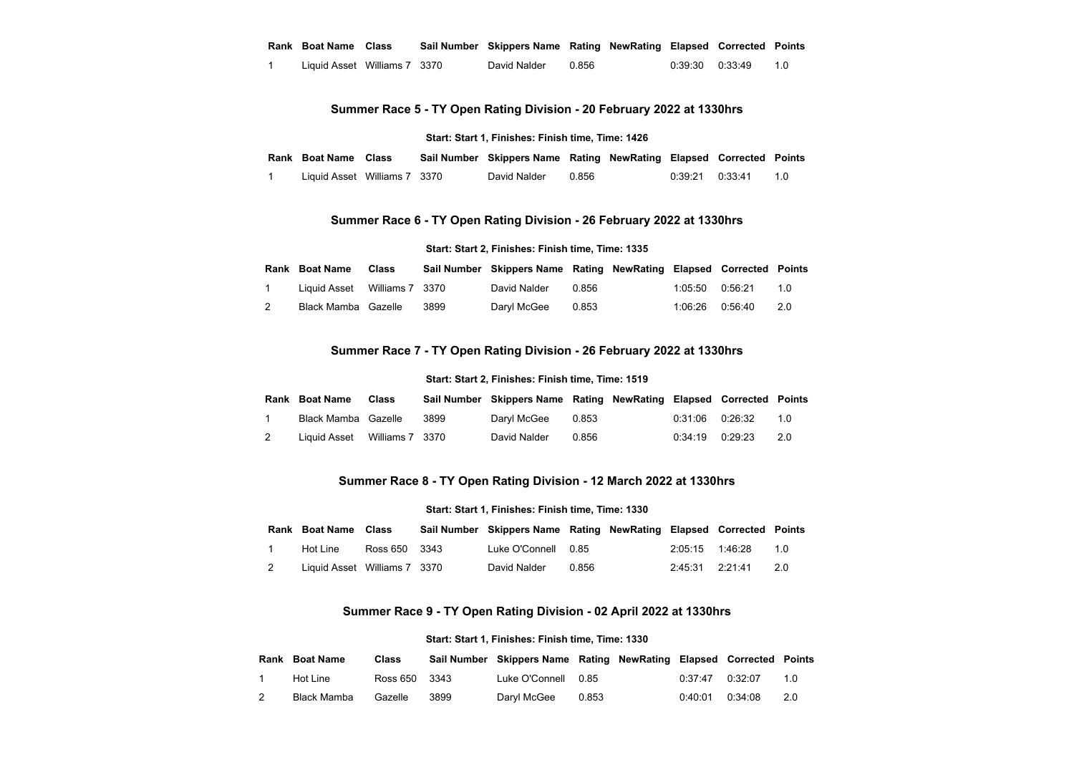#### **Rank Boat Name Class Sail Number Skippers Name Rating NewRating Elapsed Corrected Points**

1 Liquid Asset Williams 7 3370 David Nalder 0.856 0:39:30 0:33:49 1.0

## **Summer Race 5 - TY Open Rating Division - 20 February 2022 at 1330hrs**

#### **Start: Start 1, Finishes: Finish time, Time: 1426**

<span id="page-4-0"></span>

| Rank Boat Name Class         |  | Sail Number Skippers Name Rating NewRating Elapsed Corrected Points |       |                 |    |
|------------------------------|--|---------------------------------------------------------------------|-------|-----------------|----|
| Liquid Asset Williams 7 3370 |  | David Nalder                                                        | 0.856 | 0:39:21 0:33:41 | 10 |

## **Summer Race 6 - TY Open Rating Division - 26 February 2022 at 1330hrs**

#### **Start: Start 2, Finishes: Finish time, Time: 1335**

<span id="page-4-1"></span>

| Rank Boat Name               | Class |      | Sail Number Skippers Name Rating NewRating Elapsed Corrected Points |  |                  |     |
|------------------------------|-------|------|---------------------------------------------------------------------|--|------------------|-----|
| Liquid Asset Williams 7 3370 |       |      | David Nalder 0.856                                                  |  | 1:05:50  0:56:21 | 10  |
| Black Mamba Gazelle          |       | 3899 | Daryl McGee 0.853                                                   |  | 1:06:26  0:56:40 | 2.0 |

## **Summer Race 7 - TY Open Rating Division - 26 February 2022 at 1330hrs**

#### **Start: Start 2, Finishes: Finish time, Time: 1519**

<span id="page-4-2"></span>

| Rank Boat Name               | <b>Class</b> |      | Sail Number Skippers Name Rating NewRating Elapsed Corrected Points |       |                     |                         |       |
|------------------------------|--------------|------|---------------------------------------------------------------------|-------|---------------------|-------------------------|-------|
| Black Mamba Gazelle          |              | 3899 | Daryl McGee 0.853                                                   |       |                     | $0:31:06$ $0:26:32$ 1.0 |       |
| Liquid Asset Williams 7 3370 |              |      | David Nalder                                                        | 0 856 | $0:34:19$ $0:29:23$ |                         | - 2.0 |

## **Summer Race 8 - TY Open Rating Division - 12 March 2022 at 1330hrs**

#### **Start: Start 1, Finishes: Finish time, Time: 1330**

<span id="page-4-3"></span>

|                | Rank Boat Name Class         |               | Sail Number Skippers Name Rating NewRating Elapsed Corrected Points |       |                 |                     |       |
|----------------|------------------------------|---------------|---------------------------------------------------------------------|-------|-----------------|---------------------|-------|
|                | Hot Line                     | Ross 650 3343 | Luke O'Connell 0.85                                                 |       |                 | 2:05:15 1:46:28 1.0 |       |
| $\overline{2}$ | Liquid Asset Williams 7 3370 |               | David Nalder                                                        | 0.856 | 2:45:31 2:21:41 |                     | - 2.0 |

## **Summer Race 9 - TY Open Rating Division - 02 April 2022 at 1330hrs**

#### **Start: Start 1, Finishes: Finish time, Time: 1330**

<span id="page-4-4"></span>

| Rank Boat Name | Class         |      | Sail Number Skippers Name Rating NewRating Elapsed Corrected Points |       |                 |         |     |
|----------------|---------------|------|---------------------------------------------------------------------|-------|-----------------|---------|-----|
| Hot Line       | Ross 650 3343 |      | Luke O'Connell 0.85                                                 |       | 0.37.47         | 0.32.07 | 1 O |
| Black Mamba    | Gazelle       | 3899 | Darvl McGee                                                         | 0.853 | 0:40:01 0:34:08 |         | 2.0 |